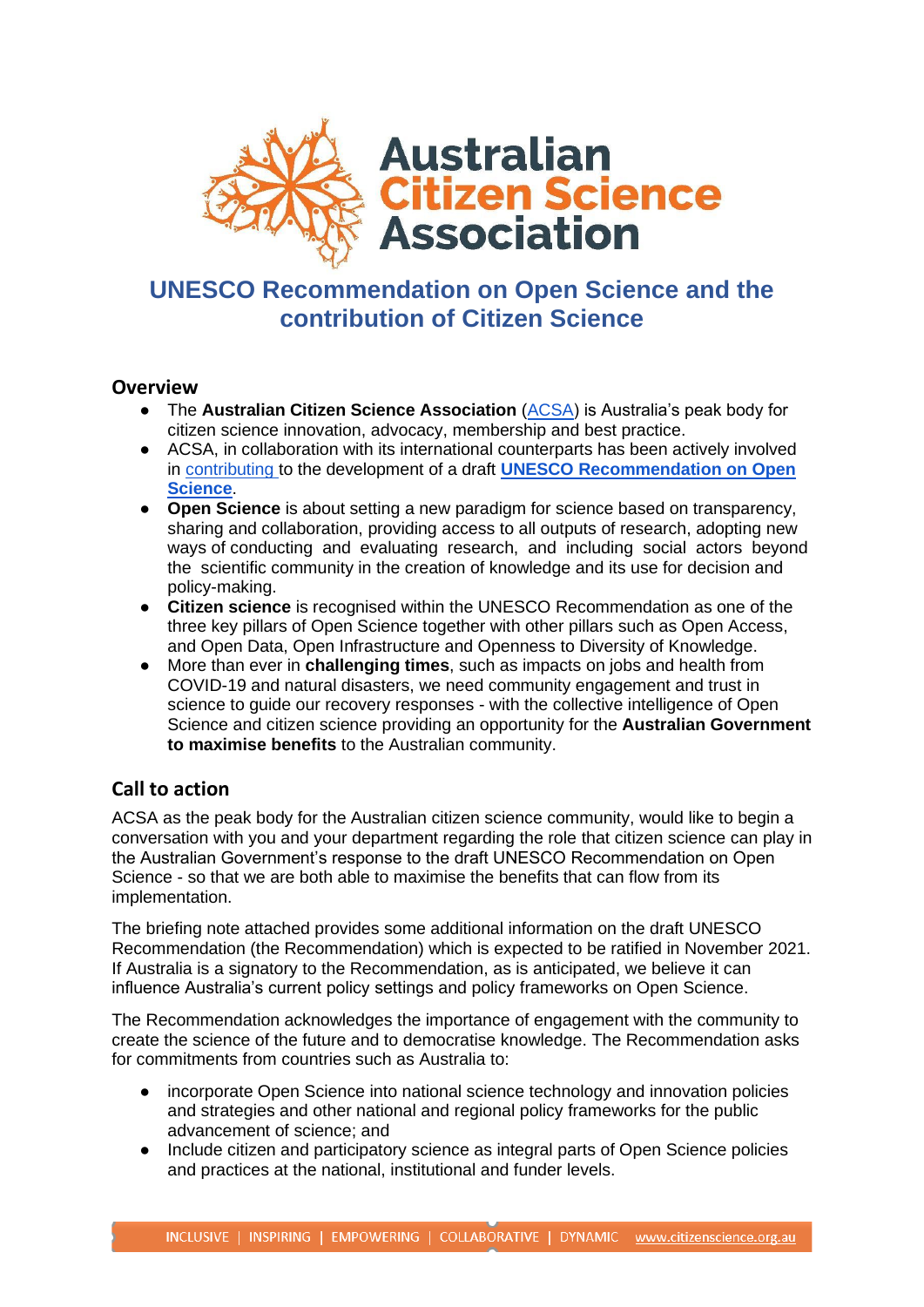

## **UNESCO Recommendation on Open Science and the contribution of Citizen Science**

### **Overview**

- **•** The **Australian Citizen Science Association** [\(ACSA\)](https://citizenscience.org.au/) is Australia's peak body for citizen science innovation, advocacy, membership and best practice.
- ACSA, in collaboration with its international counterparts has been actively involved in [contributing t](https://en.unesco.org/sites/default/files/csgp_csos_cop_short_paper_on_open_science_may_2020.pdf)o the development of a draft **[UNESCO Recommendation on Open](https://unesdoc.unesco.org/ark:/48223/pf0000374837)  [Science](https://unesdoc.unesco.org/ark:/48223/pf0000374837)**.
- **Open Science** is about setting a new paradigm for science based on transparency, sharing and collaboration, providing access to all outputs of research, adopting new ways of conducting and evaluating research, and including social actors beyond the scientific community in the creation of knowledge and its use for decision and policy-making.
- **Citizen science** is recognised within the UNESCO Recommendation as one of the three key pillars of Open Science together with other pillars such as Open Access, and Open Data, Open Infrastructure and Openness to Diversity of Knowledge.
- More than ever in **challenging times**, such as impacts on jobs and health from COVID-19 and natural disasters, we need community engagement and trust in science to guide our recovery responses - with the collective intelligence of Open Science and citizen science providing an opportunity for the **Australian Government to maximise benefits** to the Australian community.

### **Call to action**

ACSA as the peak body for the Australian citizen science community, would like to begin a conversation with you and your department regarding the role that citizen science can play in the Australian Government's response to the draft UNESCO Recommendation on Open Science - so that we are both able to maximise the benefits that can flow from its implementation.

The briefing note attached provides some additional information on the draft UNESCO Recommendation (the Recommendation) which is expected to be ratified in November 2021. If Australia is a signatory to the Recommendation, as is anticipated, we believe it can influence Australia's current policy settings and policy frameworks on Open Science.

The Recommendation acknowledges the importance of engagement with the community to create the science of the future and to democratise knowledge. The Recommendation asks for commitments from countries such as Australia to:

- incorporate Open Science into national science technology and innovation policies and strategies and other national and regional policy frameworks for the public advancement of science; and
- Include citizen and participatory science as integral parts of Open Science policies and practices at the national, institutional and funder levels.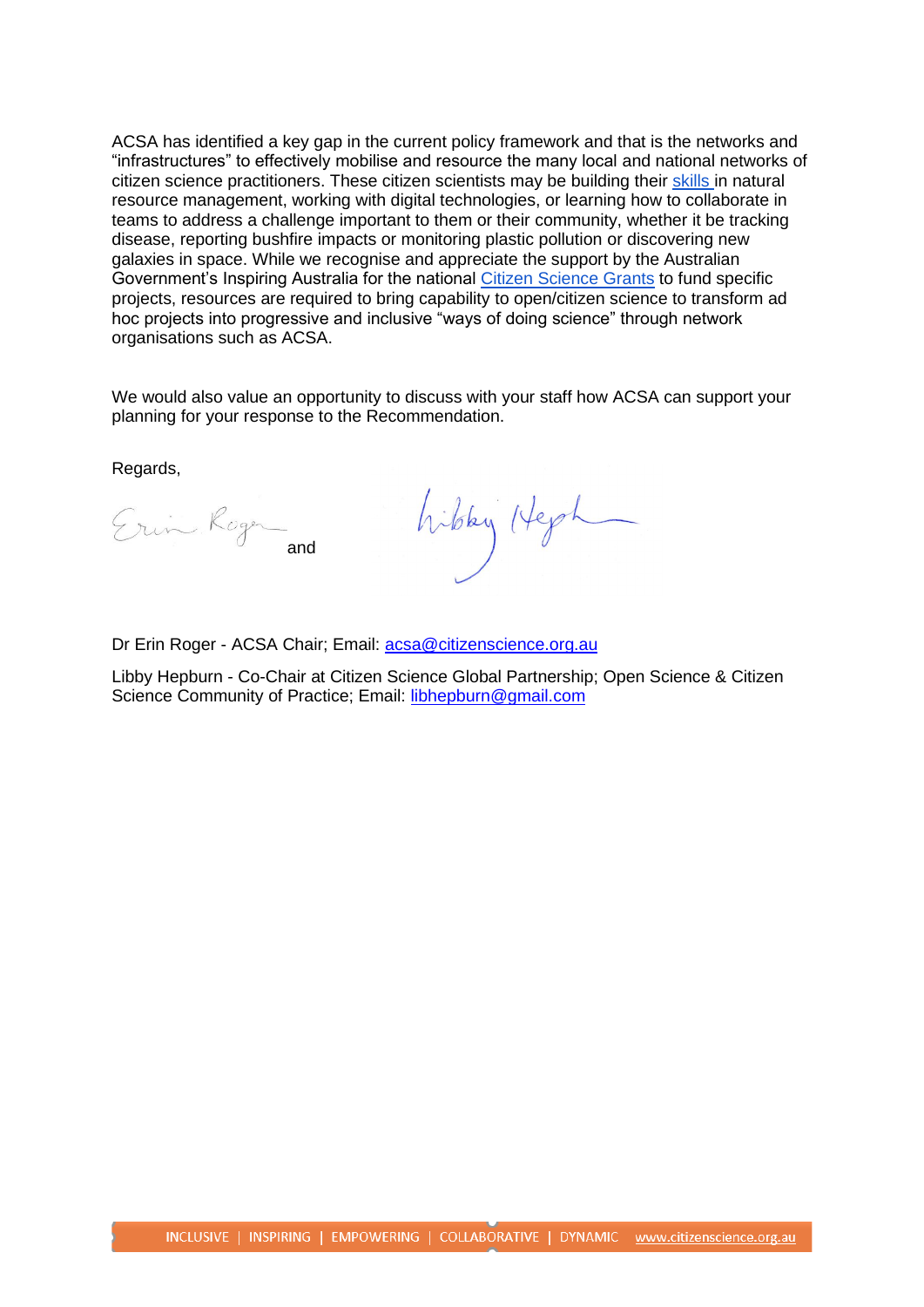ACSA has identified a key gap in the current policy framework and that is the networks and "infrastructures" to effectively mobilise and resource the many local and national networks of citizen science practitioners. These citizen scientists may be building their [skills i](https://theconversation.com/citizen-science-how-you-can-contribute-to-coronavirus-research-without-leaving-the-house-134238)n natural resource management, working with digital technologies, or learning how to collaborate in teams to address a challenge important to them or their community, whether it be tracking disease, reporting bushfire impacts or monitoring plastic pollution or discovering new galaxies in space. While we recognise and appreciate the support by the Australian Government's Inspiring Australia for the national [Citizen Science Grants](https://business.gov.au/grants-and-programs/citizen-science-grants) to fund specific projects, resources are required to bring capability to open/citizen science to transform ad hoc projects into progressive and inclusive "ways of doing science" through network organisations such as ACSA.

We would also value an opportunity to discuss with your staff how ACSA can support your planning for your response to the Recommendation.

Regards,

Erin Roger and

hibby Heph

Dr Erin Roger - ACSA Chair; Email: [acsa@citizenscience.org.au](mailto:acsa@citizenscience.org.au)

Libby Hepburn - Co-Chair at Citizen Science Global Partnership; Open Science & Citizen Science Community of Practice; Email: [libhepburn@gmail.com](mailto:libhepburn@gmail.com)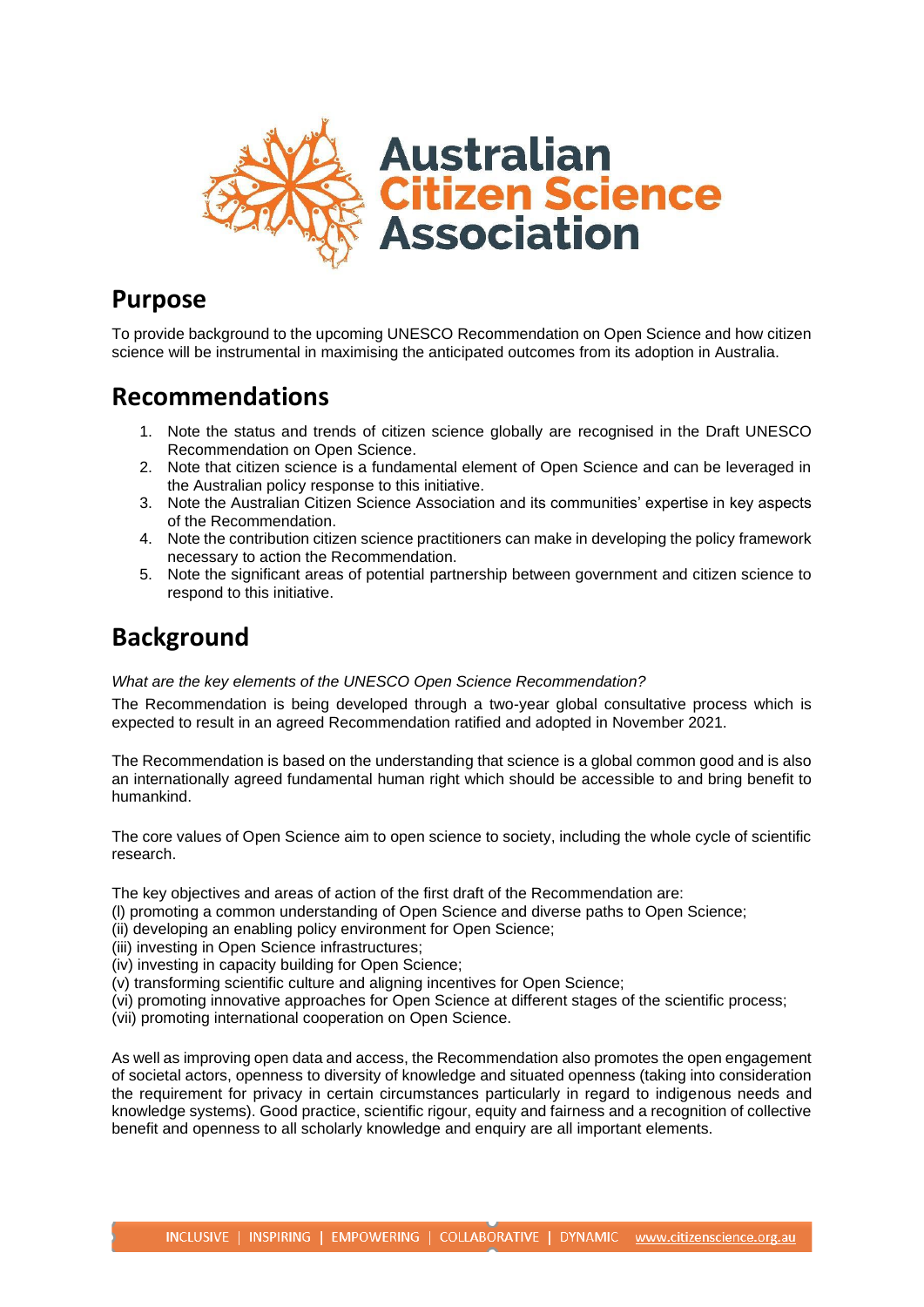

### **Purpose**

To provide background to the upcoming UNESCO Recommendation on Open Science and how citizen science will be instrumental in maximising the anticipated outcomes from its adoption in Australia.

# **Recommendations**

- 1. Note the status and trends of citizen science globally are recognised in the Draft UNESCO Recommendation on Open Science.
- 2. Note that citizen science is a fundamental element of Open Science and can be leveraged in the Australian policy response to this initiative.
- 3. Note the Australian Citizen Science Association and its communities' expertise in key aspects of the Recommendation.
- 4. Note the contribution citizen science practitioners can make in developing the policy framework necessary to action the Recommendation.
- 5. Note the significant areas of potential partnership between government and citizen science to respond to this initiative.

# **Background**

#### *What are the key elements of the UNESCO Open Science Recommendation?*

The Recommendation is being developed through a two-year global consultative process which is expected to result in an agreed Recommendation ratified and adopted in November 2021.

The Recommendation is based on the understanding that science is a global common good and is also an internationally agreed fundamental human right which should be accessible to and bring benefit to humankind.

The core values of Open Science aim to open science to society, including the whole cycle of scientific research.

The key objectives and areas of action of the first draft of the Recommendation are:

- (l) promoting a common understanding of Open Science and diverse paths to Open Science;
- (ii) developing an enabling policy environment for Open Science;
- (iii) investing in Open Science infrastructures;
- (iv) investing in capacity building for Open Science;
- (v) transforming scientific culture and aligning incentives for Open Science;
- (vi) promoting innovative approaches for Open Science at different stages of the scientific process;
- (vii) promoting international cooperation on Open Science.

As well as improving open data and access, the Recommendation also promotes the open engagement of societal actors, openness to diversity of knowledge and situated openness (taking into consideration the requirement for privacy in certain circumstances particularly in regard to indigenous needs and knowledge systems). Good practice, scientific rigour, equity and fairness and a recognition of collective benefit and openness to all scholarly knowledge and enquiry are all important elements.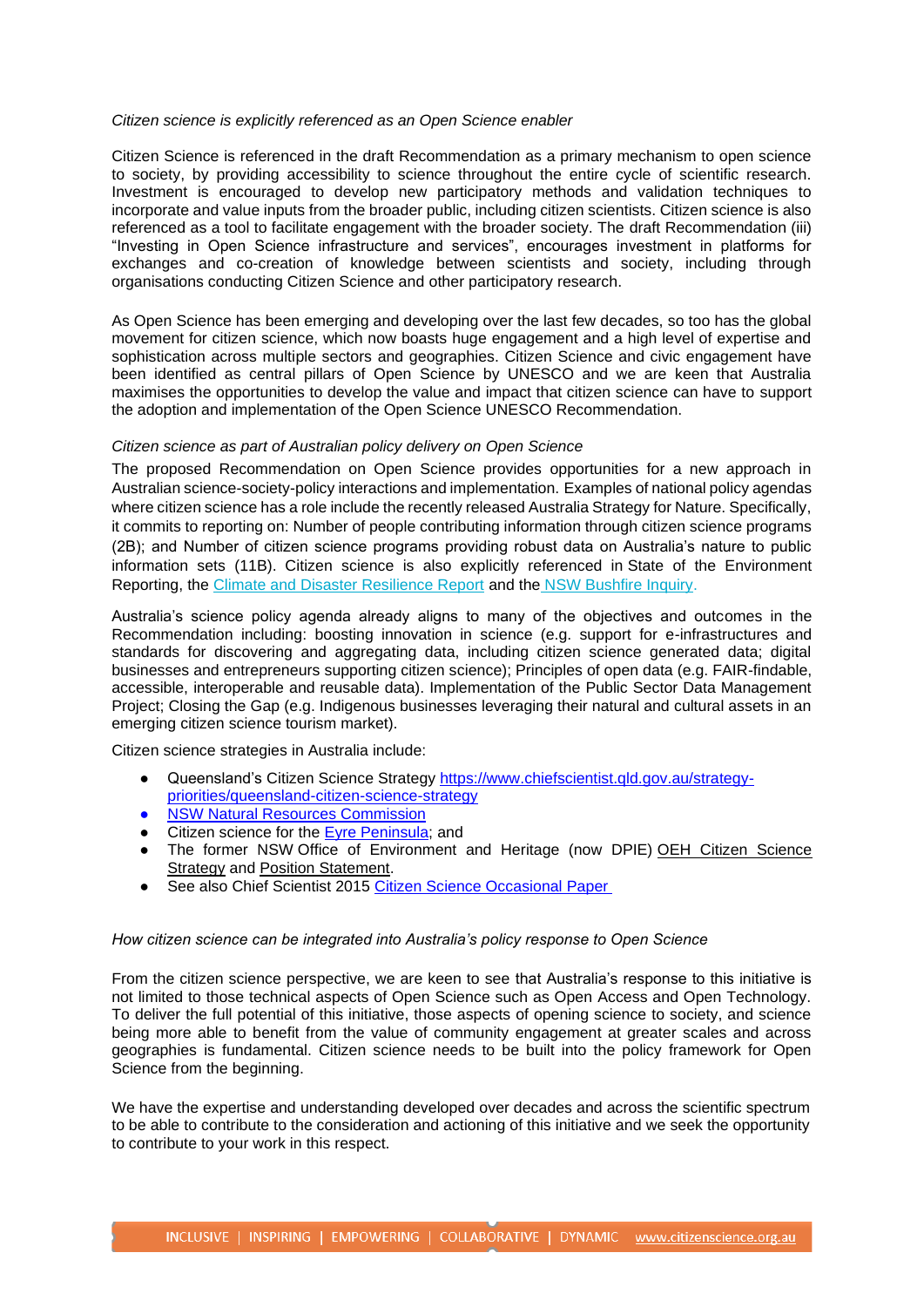#### *Citizen science is explicitly referenced as an Open Science enabler*

Citizen Science is referenced in the draft Recommendation as a primary mechanism to open science to society, by providing accessibility to science throughout the entire cycle of scientific research. Investment is encouraged to develop new participatory methods and validation techniques to incorporate and value inputs from the broader public, including citizen scientists. Citizen science is also referenced as a tool to facilitate engagement with the broader society. The draft Recommendation (iii) "Investing in Open Science infrastructure and services", encourages investment in platforms for exchanges and co-creation of knowledge between scientists and society, including through organisations conducting Citizen Science and other participatory research.

As Open Science has been emerging and developing over the last few decades, so too has the global movement for citizen science, which now boasts huge engagement and a high level of expertise and sophistication across multiple sectors and geographies. Citizen Science and civic engagement have been identified as central pillars of Open Science by UNESCO and we are keen that Australia maximises the opportunities to develop the value and impact that citizen science can have to support the adoption and implementation of the Open Science UNESCO Recommendation.

#### *Citizen science as part of Australian policy delivery on Open Science*

The proposed Recommendation on Open Science provides opportunities for a new approach in Australian science-society-policy interactions and implementation. Examples of national policy agendas where citizen science has a role include the recently released Australia Strategy for Nature. Specifically, it commits to reporting on: Number of people contributing information through citizen science programs (2B); and Number of citizen science programs providing robust data on Australia's nature to public information sets (11B). Citizen science is also explicitly referenced in State of the Environment Reporting, the [Climate and Disaster Resilience Report](https://www.csiro.au/en/Research/Environment/Extreme-Events/Bushfire/frontline-support/report-climate-disaste-resilience) and the [NSW Bushfire Inquiry.](https://www.dpc.nsw.gov.au/assets/dpc-nsw-gov-au/publications/NSW-Bushfire-Inquiry-1630/Final-Report-of-the-NSW-Bushfire-Inquiry.pdf)

Australia's science policy agenda already aligns to many of the objectives and outcomes in the Recommendation including: boosting innovation in science (e.g. support for e-infrastructures and standards for discovering and aggregating data, including citizen science generated data; digital businesses and entrepreneurs supporting citizen science); Principles of open data (e.g. FAIR-findable, accessible, interoperable and reusable data). Implementation of the Public Sector Data Management Project; Closing the Gap (e.g. Indigenous businesses leveraging their natural and cultural assets in an emerging citizen science tourism market).

Citizen science strategies in Australia include:

- Queensland's Citizen Science Strategy [https://www.chiefscientist.qld.gov.au/strategy](https://www.chiefscientist.qld.gov.au/strategy-priorities/queensland-citizen-science-strategy)[priorities/queensland-citizen-science-strategy](https://www.chiefscientist.qld.gov.au/strategy-priorities/queensland-citizen-science-strategy)
- [NSW Natural Resources Commission](https://www.nrc.nsw.gov.au/fmip-partnerships)
- Citizen science for the [Eyre Peninsula;](https://landscape.sa.gov.au/ep/get-involved/citizen-science?BestBetMatch=citizen%20science%7C4d090124-f3d8-4557-9b86-0d101df97e20%7C46d71422-ee72-40ae-9a97-a32b00c7f5a3%7Cen-AU) and
- The former NSW Office of Environment and Heritage (now DPIE) OEH Citizen Science [Strategy](https://www.environment.nsw.gov.au/-/media/OEH/Corporate-Site/Documents/Research/Citizen-science/oeh-citizen-science-strategy-2016-2018-150859.pdf) and [Position Statement.](https://www.environment.nsw.gov.au/research-and-publications/publications-search/citizen-science-position-statement)
- See also Chief Scientist 2015 [Citizen Science Occasional](https://www.chiefscientist.gov.au/sites/default/files/Citizen-science-OP_web.pdf) Pape[r](https://www.chiefscientist.gov.au/sites/default/files/Citizen-science-OP_web.pdf)

#### *How citizen science can be integrated into Australia's policy response to Open Science*

From the citizen science perspective, we are keen to see that Australia's response to this initiative is not limited to those technical aspects of Open Science such as Open Access and Open Technology. To deliver the full potential of this initiative, those aspects of opening science to society, and science being more able to benefit from the value of community engagement at greater scales and across geographies is fundamental. Citizen science needs to be built into the policy framework for Open Science from the beginning.

We have the expertise and understanding developed over decades and across the scientific spectrum to be able to contribute to the consideration and actioning of this initiative and we seek the opportunity to contribute to your work in this respect.